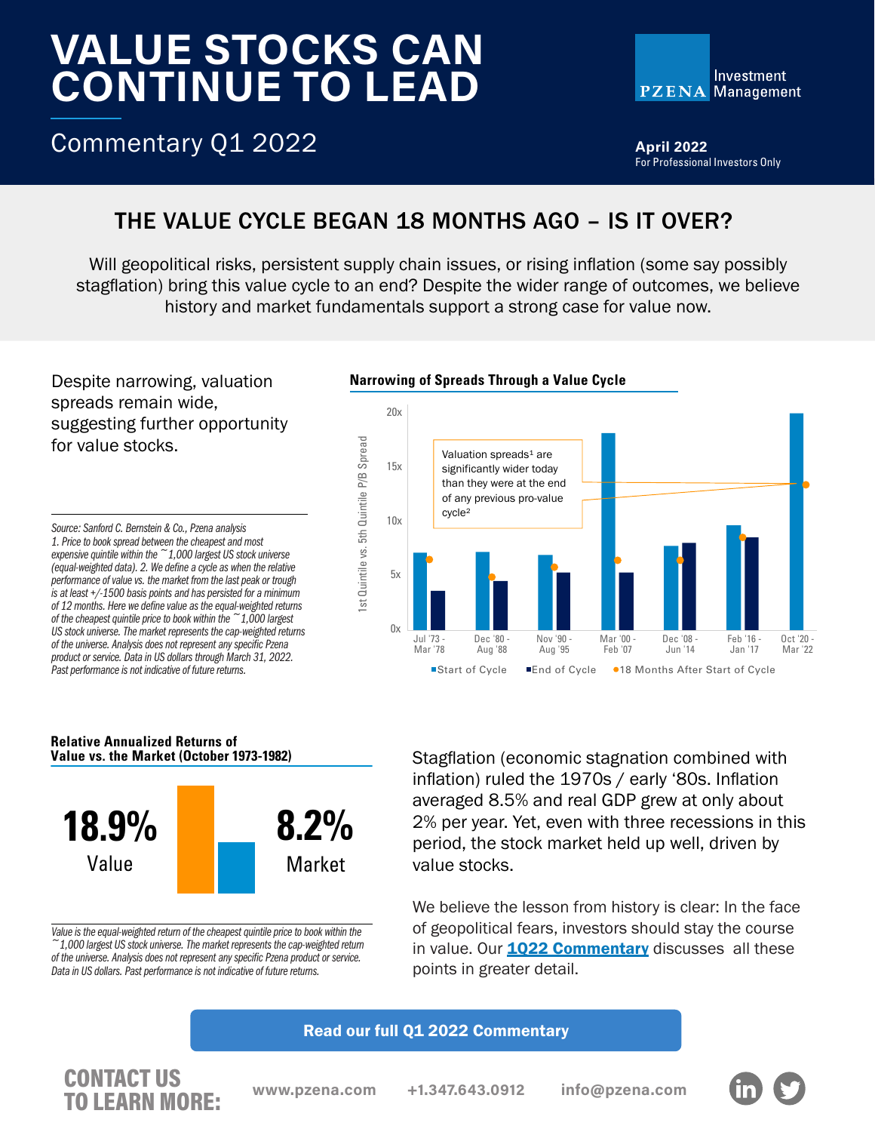# VALUE STOCKS CAN CONTINUE TO LEAD



Commentary Q1 2022

**April 2022** For Professional Investors Only

# THE VALUE CYCLE BEGAN 18 MONTHS AGO – IS IT OVER?

Will geopolitical risks, persistent supply chain issues, or rising inflation (some say possibly stagflation) bring this value cycle to an end? Despite the wider range of outcomes, we believe history and market fundamentals support a strong case for value now.

Despite narrowing, valuation spreads remain wide, suggesting further opportunity for value stocks.

*Source: Sanford C. Bernstein & Co., Pzena analysis 1. Price to book spread between the cheapest and most expensive quintile within the ~1,000 largest US stock universe (equal-weighted data). 2. We define a cycle as when the relative performance of value vs. the market from the last peak or trough is at least +/-1500 basis points and has persisted for a minimum of 12 months. Here we define value as the equal-weighted returns of the cheapest quintile price to book within the ~1,000 largest US stock universe. The market represents the cap-weighted returns of the universe. Analysis does not represent any specific Pzena product or service. Data in US dollars through March 31, 2022. Past performance is not indicative of future returns.* 

## **Narrowing of Spreads Through a Value Cycle**



#### **Relative Annualized Returns of Value vs. the Market (October 1973-1982)**



*Value is the equal-weighted return of the cheapest quintile price to book within the ~1,000 largest US stock universe. The market represents the cap-weighted return of the universe. Analysis does not represent any specific Pzena product or service. Data in US dollars. Past performance is not indicative of future returns.*

Stagflation (economic stagnation combined with inflation) ruled the 1970s / early '80s. Inflation averaged 8.5% and real GDP grew at only about 2% per year. Yet, even with three recessions in this period, the stock market held up well, driven by value stocks.

We believe the lesson from history is clear: In the face of geopolitical fears, investors should stay the course in value. Our **[1Q22 Commentary](https://www.pzena.com/fundamentals-align-for-an-enduring-value-cycle-fa/)** discusses all these points in greater detail.

### [Read our full Q1 2022 Commentary](https://www.pzena.com/fundamentals-point-to-an-enduring-value-cycle/)

## CONTACT US **TO LEARN MORE:** www.pzena.com +1.347.643.0912 info@pzena.com<br>TO LEARN MORE: